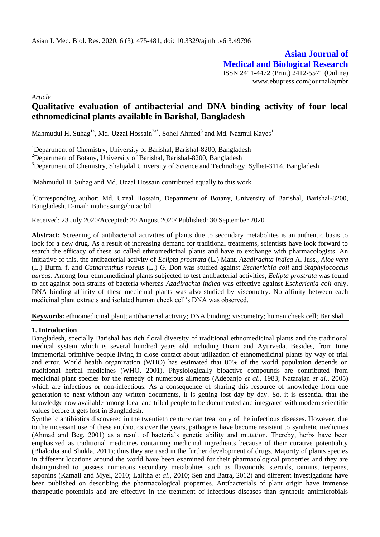**Asian Journal of Medical and Biological Research** ISSN 2411-4472 (Print) 2412-5571 (Online) www.ebupress.com/journal/ajmbr

*Article*

# **Qualitative evaluation of antibacterial and DNA binding activity of four local ethnomedicinal plants available in Barishal, Bangladesh**

Mahmudul H. Suhag<sup>1a</sup>, Md. Uzzal Hossain<sup>2a\*</sup>, Sohel Ahmed<sup>3</sup> and Md. Nazmul Kayes<sup>1</sup>

<sup>1</sup>Department of Chemistry, University of Barishal, Barishal-8200, Bangladesh

<sup>2</sup>Department of Botany, University of Barishal, Barishal-8200, Bangladesh

<sup>3</sup>Department of Chemistry, Shahjalal University of Science and Technology, Sylhet-3114, Bangladesh

<sup>a</sup>Mahmudul H. Suhag and Md. Uzzal Hossain contributed equally to this work

\*Corresponding author: Md. Uzzal Hossain, Department of Botany, University of Barishal, Barishal-8200, Bangladesh. E-mail: muhossain@bu.ac.bd

Received: 23 July 2020/Accepted: 20 August 2020/ Published: 30 September 2020

**Abstract:** Screening of antibacterial activities of plants due to secondary metabolites is an authentic basis to look for a new drug. As a result of increasing demand for traditional treatments, scientists have look forward to search the efficacy of these so called ethnomedicinal plants and have to exchange with pharmacologists. An initiative of this, the antibacterial activity of *Eclipta prostrata* (L.) Mant. *Azadirachta indica* A. Juss.*, Aloe vera*  (L.) Burm. f. and *Catharanthus roseus* (L.) G. Don was studied against *Escherichia coli* and *Staphylococcus aureus*. Among four ethnomedicinal plants subjected to test antibacterial activities, *Eclipta prostrata* was found to act against both strains of bacteria whereas *Azadirachta indica* was effective against *Escherichia coli* only. DNA binding affinity of these medicinal plants was also studied by viscometry. No affinity between each medicinal plant extracts and isolated human cheek cell's DNA was observed.

**Keywords:** ethnomedicinal plant; antibacterial activity; DNA binding; viscometry; human cheek cell; Barishal

### **1. Introduction**

Bangladesh, specially Barishal has rich floral diversity of traditional ethnomedicinal plants and the traditional medical system which is several hundred years old including Unani and Ayurveda. Besides, from time immemorial primitive people living in close contact about utilization of ethnomedicinal plants by way of trial and error. World health organization (WHO) has estimated that 80% of the world population depends on traditional herbal medicines (WHO, 2001). Physiologically bioactive compounds are contributed from medicinal plant species for the remedy of numerous ailments (Adebanjo *et al*., 1983; Natarajan *et al*., 2005) which are infectious or non-infectious. As a consequence of sharing this resource of knowledge from one generation to next without any written documents, it is getting lost day by day. So, it is essential that the knowledge now available among local and tribal people to be documented and integrated with modern scientific values before it gets lost in Bangladesh.

Synthetic antibiotics discovered in the twentieth century can treat only of the infectious diseases. However, due to the incessant use of these antibiotics over the years, pathogens have become resistant to synthetic medicines (Ahmad and Beg, 2001) as a result of bacteria's genetic ability and mutation. Thereby, herbs have been emphasized as traditional medicines containing medicinal ingredients because of their curative potentiality (Bhalodia and Shukla, 2011); thus they are used in the further development of drugs. Majority of plants species in different locations around the world have been examined for their pharmacological properties and they are distinguished to possess numerous secondary metabolites such as flavonoids, steroids, tannins, terpenes, saponins (Kamali and Myel, 2010; Lalitha *et al*., 2010; Sen and Batra, 2012) and different investigations have been published on describing the pharmacological properties. Antibacterials of plant origin have immense therapeutic potentials and are effective in the treatment of infectious diseases than synthetic antimicrobials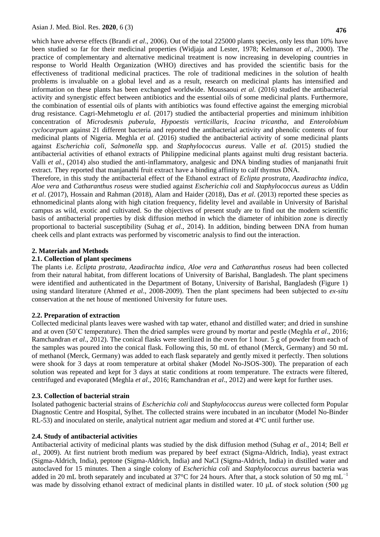which have adverse effects (Brandi *et al.*, 2006). Out of the total 225000 plants species, only less than 10% have been studied so far for their medicinal properties (Widjaja and Lester, 1978; Kelmanson *et al*., 2000). The practice of complementary and alternative medicinal treatment is now increasing in developing countries in response to World Health Organization (WHO) directives and has provided the scientific basis for the effectiveness of traditional medicinal practices. The role of traditional medicines in the solution of health problems is invaluable on a global level and as a result, research on medicinal plants has intensified and information on these plants has been exchanged worldwide. Moussaoui *et al*. (2016) studied the antibacterial activity and synergistic effect between antibiotics and the essential oils of some medicinal plants. Furthermore, the combination of essential oils of plants with antibiotics was found effective against the emerging microbial drug resistance. Cagri-Mehmetoglu *et al.* (2017) studied the antibacterial properties and minimum inhibition concentration of *Microdesmis puberula*, *Hypoestis verticillaris*, *Icacina tricantha*, and *Enterolobium cyclocarpum* against 21 different bacteria and reported the antibacterial activity and phenolic contents of four medicinal plants of Nigeria. Meghla *et al.* (2016) studied the antibacterial activity of some medicinal plants against *Escherichia coli*, *Salmonella* spp*.* and *Staphylococcus aureus.* Valle *et al.* (2015) studied the antibacterial activities of ethanol extracts of Philippine medicinal plants against multi drug resistant bacteria. Valli *et al.*, (2014) also studied the anti-inflammatory, analgesic and DNA binding studies of manjanathi fruit extract. They reported that manjanathi fruit extract have a binding affinity to calf thymus DNA.

Therefore, in this study the antibacterial effect of the Ethanol extract of *Eclipta prostrata*, *Azadirachta indica*, *Aloe vera* and *Catharanthus roseus* were studied against *Escherichia coli* and *Staphylococcus aureus* as Uddin *et al*. (2017), Hossain and Rahman (2018), Alam and Haider (2018), Das *et al*. (2013) reported these species as ethnomedicinal plants along with high citation frequency, fidelity level and available in University of Barishal campus as wild, exotic and cultivated. So the objectives of present study are to find out the modern scientific basis of antibacterial properties by disk diffusion method in which the diameter of inhibition zone is directly proportional to bacterial susceptibility (Suhag *et al*., 2014). In addition, binding between DNA from human cheek cells and plant extracts was performed by viscometric analysis to find out the interaction.

### **2. Materials and Methods**

### **2.1. Collection of plant specimens**

The plants i.e. *Eclipta prostrata, Azadirachta indica, Aloe vera* and *Catharanthus roseus* had been collected from their natural habitat, from different locations of University of Barishal, Bangladesh. The plant specimens were identified and authenticated in the Department of Botany, University of Barishal, Bangladesh (Figure 1) using standard literature (Ahmed *et al*., 2008-2009). Then the plant specimens had been subjected to *ex-situ* conservation at the net house of mentioned University for future uses.

### **2.2. Preparation of extraction**

Collected medicinal plants leaves were washed with tap water, ethanol and distilled water; and dried in sunshine and at oven (50˚C temperature). Then the dried samples were ground by mortar and pestle (Meghla *et al*., 2016; Ramchandran *et al*., 2012). The conical flasks were sterilized in the oven for 1 hour. 5 g of powder from each of the samples was poured into the conical flask. Following this, 50 mL of ethanol (Merck, Germany) and 50 mL of methanol (Merck, Germany) was added to each flask separately and gently mixed it perfectly. Then solutions were shook for 3 days at room temperature at orbital shaker (Model No-JSOS-300). The preparation of each solution was repeated and kept for 3 days at static conditions at room temperature. The extracts were filtered, centrifuged and evaporated (Meghla *et al*., 2016; Ramchandran *et al*., 2012) and were kept for further uses.

### **2.3. Collection of bacterial strain**

Isolated pathogenic bacterial strains of *Escherichia coli* and *Staphylococcus aureus* were collected form Popular Diagnostic Centre and Hospital, Sylhet. The collected strains were incubated in an incubator (Model No-Binder RL-53) and inoculated on sterile, analytical nutrient agar medium and stored at  $4^{\circ}$ C until further use.

## **2.4. Study of antibacterial activities**

Antibacterial activity of medicinal plants was studied by the disk diffusion method (Suhag *et al*., 2014; Bell *et al*., 2009). At first nutrient broth medium was prepared by beef extract (Sigma-Aldrich, India), yeast extract (Sigma-Aldrich, India), peptone (Sigma-Aldrich, India) and NaCl (Sigma-Aldrich, India) in distilled water and autoclaved for 15 minutes. Then a single colony of *Escherichia coli* and *Staphylococcus aureus* bacteria was added in 20 mL broth separately and incubated at 37 $^{\circ}$ C for 24 hours. After that, a stock solution of 50 mg mL<sup>-1</sup> was made by dissolving ethanol extract of medicinal plants in distilled water. 10 μL of stock solution (500 μg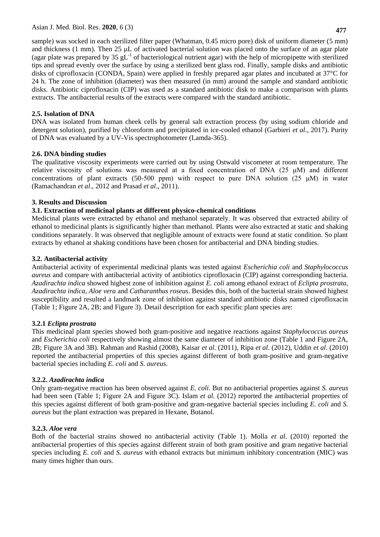sample) was socked in each sterilized filter paper (Whatman, 0.45 micro pore) disk of uniform diameter (5 mm) and thickness (1 mm). Then 25 μL of activated bacterial solution was placed onto the surface of an agar plate (agar plate was prepared by 35  $gL^{-1}$  of bacteriological nutrient agar) with the help of micropipette with sterilized tips and spread evenly over the surface by using a sterilized bent glass rod. Finally, sample disks and antibiotic disks of ciprofloxacin (CONDA, Spain) were applied in freshly prepared agar plates and incubated at 37°C for 24 h. The zone of inhibition (diameter) was then measured (in mm) around the sample and standard antibiotic disks. Antibiotic ciprofloxacin (CIP) was used as a standard antibiotic disk to make a comparison with plants extracts. The antibacterial results of the extracts were compared with the standard antibiotic.

## **2.5. Isolation of DNA**

DNA was isolated from human cheek cells by general salt extraction process (by using sodium chloride and detergent solution), purified by chloroform and precipitated in ice-cooled ethanol (Garbieri *et al*., 2017). Purity of DNA was evaluated by a UV-Vis spectrophotometer (Lamda-365).

## **2.6. DNA binding studies**

The qualitative viscosity experiments were carried out by using Ostwald viscometer at room temperature. The relative viscosity of solutions was measured at a fixed concentration of DNA (25 μM) and different concentrations of plant extracts (50-500 ppm) with respect to pure DNA solution (25  $\mu$ M) in water (Ramachandran *et al*., 2012 and Prasad *et al*., 2011).

## **3. Results and Discussion**

## **3.1. Extraction of medicinal plants at different physico-chemical conditions**

Medicinal plants were extracted by ethanol and methanol separately. It was observed that extracted ability of ethanol to medicinal plants is significantly higher than methanol. Plants were also extracted at static and shaking conditions separately. It was observed that negligible amount of extracts were found at static condition. So plant extracts by ethanol at shaking conditions have been chosen for antibacterial and DNA binding studies.

## **3.2. Antibacterial activity**

Antibacterial activity of experimental medicinal plants was tested against *Escherichia coli* and *Staphylococcus aureus* and compare with antibacterial activity of antibiotics ciprofloxacin (CIP) against corresponding bacteria. *Azadirachta indica* showed highest zone of inhibition against *E. coli* among ethanol extract of *Eclipta prostrata, Azadirachta indica, Aloe vera* and *Catharanthus roseus*. Besides this, both of the bacterial strain showed highest susceptibility and resulted a landmark zone of inhibition against standard antibiotic disks named ciprofloxacin (Table 1; Figure 2A, 2B; and Figure 3). Detail description for each specific plant species are:

## **3.2.1** *Eclipta prostrata*

This medicinal plant species showed both gram-positive and negative reactions against *Staphylococcus aureus*  and *Escherichia coli* respectively showing almost the same diameter of inhibition zone (Table 1 and Figure 2A, 2B; Figure 3A and 3B). Rahman and Rashid (2008), Kaisar *et al*. (2011), Ripa *et al*. (2012), Uddin *et al*. (2010) reported the antibacterial properties of this species against different of both gram-positive and gram-negative bacterial species including *E. coli* and *S. aureus*.

## **3.2.2.** *Azadirachta indica*

Only gram-negative reaction has been observed against *E. coli*. But no antibacterial properties against *S. aureus* had been seen (Table 1; Figure 2A and Figure 3C). Islam *et al*. (2012) reported the antibacterial properties of this species against different of both gram-positive and gram-negative bacterial species including *E. coli* and *S. aureus* but the plant extraction was prepared in Hexane, Butanol.

## **3.2.3.** *Aloe vera*

Both of the bacterial strains showed no antibacterial activity (Table 1). Molla *et al*. (2010) reported the antibacterial properties of this species against different strain of both gram positive and gram negative bacterial species including *E. coli* and *S. aureus* with ethanol extracts but minimum inhibitory concentration (MIC) was many times higher than ours.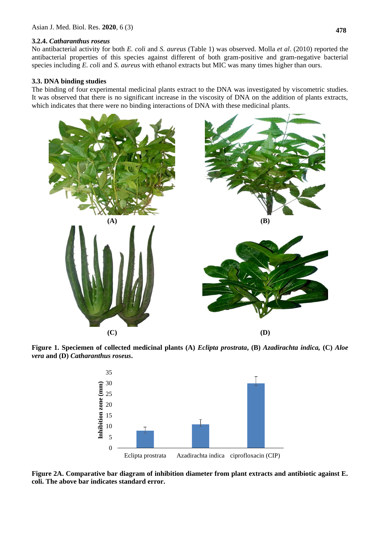#### **3.2.4.** *Catharanthus roseus*

No antibacterial activity for both *E. coli* and *S. aureus* (Table 1) was observed. Molla *et al*. (2010) reported the antibacterial properties of this species against different of both gram-positive and gram-negative bacterial species including *E. coli* and *S. aureus* with ethanol extracts but MIC was many times higher than ours.

#### **3.3. DNA binding studies**

The binding of four experimental medicinal plants extract to the DNA was investigated by viscometric studies. It was observed that there is no significant increase in the viscosity of DNA on the addition of plants extracts, which indicates that there were no binding interactions of DNA with these medicinal plants.



**Figure 1. Speciemen of collected medicinal plants (A)** *Eclipta prostrata***, (B)** *Azadirachta indica,* **(C)** *Aloe vera* **and (D)** *Catharanthus roseus***.** 



**Figure 2A. Comparative bar diagram of inhibition diameter from plant extracts and antibiotic against E. coli. The above bar indicates standard error.**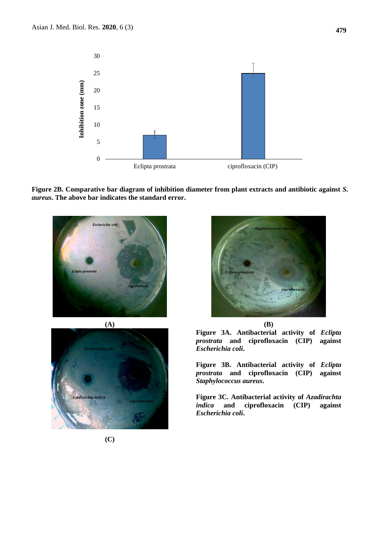

**Figure 2B. Comparative bar diagram of inhibition diameter from plant extracts and antibiotic against** *S. aureus***. The above bar indicates the standard error.** 







**Figure 3A. Antibacterial activity of** *Eclipta prostrata* **and ciprofloxacin (CIP) against**  *Escherichia coli***.**

**Figure 3B. Antibacterial activity of** *Eclipta prostrata* **and ciprofloxacin (CIP) against**  *Staphylococcus aureus***.**

**Figure 3C. Antibacterial activity of** *Azadirachta indica* **and ciprofloxacin (CIP) against**  *Escherichia coli***.**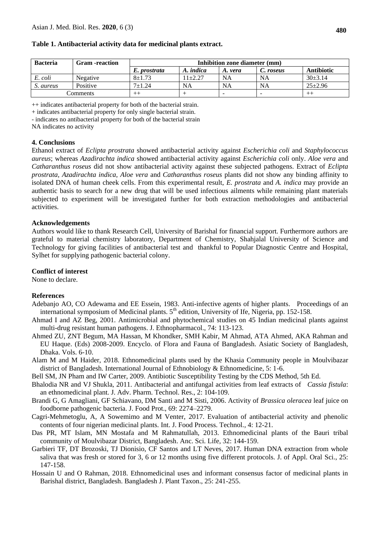| <b>Bacteria</b> | <b>Gram</b> -reaction | Inhibition zone diameter (mm) |           |                          |           |                   |
|-----------------|-----------------------|-------------------------------|-----------|--------------------------|-----------|-------------------|
|                 |                       | E. prostrata                  | A. indica | A. vera                  | C. roseus | <b>Antibiotic</b> |
| E. coli         | Negative              | $8 + 1.73$                    | $1+2.27$  | <b>NA</b>                | <b>NA</b> | $30+3.14$         |
| S. aureus       | Positive              | $7 + 1.24$                    | NA        | <b>NA</b>                | <b>NA</b> | $25 \pm 2.96$     |
| Comments        |                       | $^{++}$                       |           | $\overline{\phantom{a}}$ |           |                   |

#### **Table 1. Antibacterial activity data for medicinal plants extract.**

++ indicates antibacterial property for both of the bacterial strain.

+ indicates antibacterial property for only single bacterial strain.

- indicates no antibacterial property for both of the bacterial strain

NA indicates no activity

#### **4. Conclusions**

Ethanol extract of *Eclipta prostrata* showed antibacterial activity against *Escherichia coli* and *Staphylococcus aureus*; whereas *Azadirachta indica* showed antibacterial activity against *Escherichia coli* only. *Aloe vera* and *Catharanthus roseus* did not show antibacterial activity against these subjected pathogens. Extract of *Eclipta prostrata, Azadirachta indica, Aloe vera* and *Catharanthus roseus* plants did not show any binding affinity to isolated DNA of human cheek cells. From this experimental result, *E. prostrata* and *A. indica* may provide an authentic basis to search for a new drug that will be used infectious ailments while remaining plant materials subjected to experiment will be investigated further for both extraction methodologies and antibacterial activities.

#### **Acknowledgements**

Authors would like to thank Research Cell, University of Barishal for financial support. Furthermore authors are grateful to material chemistry laboratory, Department of Chemistry, Shahjalal University of Science and Technology for giving facilities of antibacterial test and thankful to Popular Diagnostic Centre and Hospital, Sylhet for supplying pathogenic bacterial colony.

#### **Conflict of interest**

None to declare.

### **References**

- Adebanjo AO, CO Adewama and EE Essein, 1983. Anti-infective agents of higher plants. Proceedings of an international symposium of Medicinal plants.  $5<sup>th</sup>$  edition, University of Ife, Nigeria, pp. 152-158.
- Ahmad I and AZ Beg, 2001. Antimicrobial and phytochemical studies on 45 Indian medicinal plants against multi-drug resistant human pathogens. J. Ethnopharmacol., 74: 113-123.
- Ahmed ZU, ZNT Begum, MA Hassan, M Khondker, SMH Kabir, M Ahmad, ATA Ahmed, AKA Rahman and EU Haque. (Eds) 2008-2009. Encyclo. of Flora and Fauna of Bangladesh. Asiatic Society of Bangladesh, Dhaka. Vols. 6-10.
- Alam M and M Haider, 2018. Ethnomedicinal plants used by the Khasia Community people in Moulvibazar district of Bangladesh. International Journal of Ethnobiology & Ethnomedicine, 5: 1-6.
- Bell SM, JN Pham and IW Carter, 2009. Antibiotic Susceptibility Testing by the CDS Method, 5th Ed.
- Bhalodia NR and VJ Shukla, 2011. Antibacterial and antifungal activities from leaf extracts of *Cassia fistula*: an ethnomedicinal plant. J. Adv. Pharm. Technol. Res., 2: 104-109.
- Brandi G, G Amagliani, GF Schiavano, DM Santi and M Sisti, 2006. Activity of *Brassica oleracea* leaf juice on foodborne pathogenic bacteria. J. Food Prot., 69: 2274–2279.
- Cagri-Mehmetoglu, A, A Sowemimo and M Venter, 2017. Evaluation of antibacterial activity and phenolic contents of four nigerian medicinal plants. Int. J. Food Process. Technol.*,* 4: 12-21.
- Das PR, MT Islam, MN Mostafa and M Rahmatullah, 2013. Ethnomedicinal plants of the Bauri tribal community of Moulvibazar District, Bangladesh. Anc. Sci. Life, 32: 144-159.
- Garbieri TF, DT Brozoski, TJ Dionisio, CF Santos and LT Neves, 2017. Human DNA extraction from whole saliva that was fresh or stored for 3, 6 or 12 months using five different protocols. J. of Appl. Oral Sci., 25: 147-158.
- Hossain U and O Rahman, 2018. Ethnomedicinal uses and informant consensus factor of medicinal plants in Barishal district, Bangladesh. Bangladesh J. Plant Taxon., 25: 241-255.